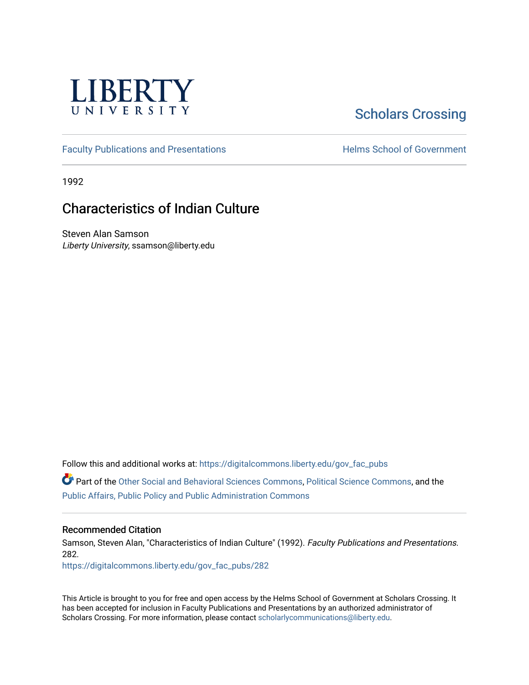

## [Scholars Crossing](https://digitalcommons.liberty.edu/)

[Faculty Publications and Presentations](https://digitalcommons.liberty.edu/gov_fac_pubs) **Exercise School of Government** 

1992

## Characteristics of Indian Culture

Steven Alan Samson Liberty University, ssamson@liberty.edu

Follow this and additional works at: [https://digitalcommons.liberty.edu/gov\\_fac\\_pubs](https://digitalcommons.liberty.edu/gov_fac_pubs?utm_source=digitalcommons.liberty.edu%2Fgov_fac_pubs%2F282&utm_medium=PDF&utm_campaign=PDFCoverPages)

Part of the [Other Social and Behavioral Sciences Commons](http://network.bepress.com/hgg/discipline/437?utm_source=digitalcommons.liberty.edu%2Fgov_fac_pubs%2F282&utm_medium=PDF&utm_campaign=PDFCoverPages), [Political Science Commons](http://network.bepress.com/hgg/discipline/386?utm_source=digitalcommons.liberty.edu%2Fgov_fac_pubs%2F282&utm_medium=PDF&utm_campaign=PDFCoverPages), and the [Public Affairs, Public Policy and Public Administration Commons](http://network.bepress.com/hgg/discipline/393?utm_source=digitalcommons.liberty.edu%2Fgov_fac_pubs%2F282&utm_medium=PDF&utm_campaign=PDFCoverPages)

## Recommended Citation

Samson, Steven Alan, "Characteristics of Indian Culture" (1992). Faculty Publications and Presentations. 282.

[https://digitalcommons.liberty.edu/gov\\_fac\\_pubs/282](https://digitalcommons.liberty.edu/gov_fac_pubs/282?utm_source=digitalcommons.liberty.edu%2Fgov_fac_pubs%2F282&utm_medium=PDF&utm_campaign=PDFCoverPages)

This Article is brought to you for free and open access by the Helms School of Government at Scholars Crossing. It has been accepted for inclusion in Faculty Publications and Presentations by an authorized administrator of Scholars Crossing. For more information, please contact [scholarlycommunications@liberty.edu.](mailto:scholarlycommunications@liberty.edu)